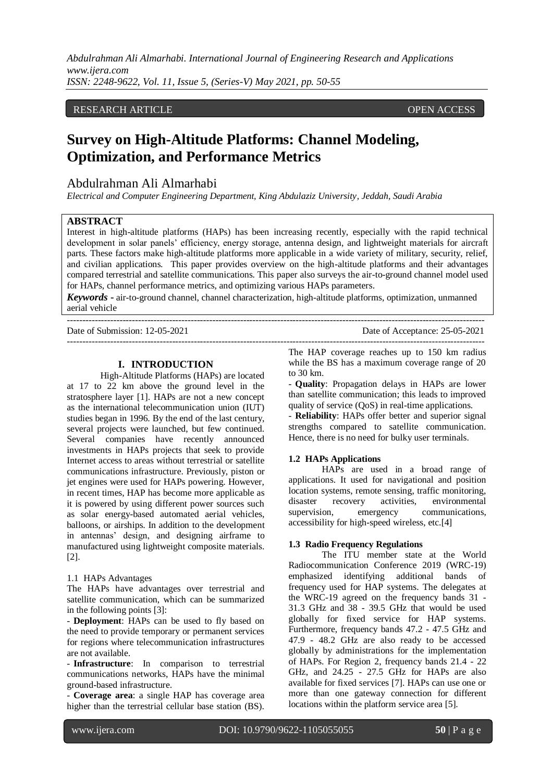*Abdulrahman Ali Almarhabi. International Journal of Engineering Research and Applications www.ijera.com ISSN: 2248-9622, Vol. 11, Issue 5, (Series-V) May 2021, pp. 50-55*

## RESEARCH ARTICLE **CONSERVERS** OPEN ACCESS

# **Survey on High-Altitude Platforms: Channel Modeling, Optimization, and Performance Metrics**

# Abdulrahman Ali Almarhabi

*Electrical and Computer Engineering Department, King Abdulaziz University, Jeddah, Saudi Arabia*

## **ABSTRACT**

Interest in high-altitude platforms (HAPs) has been increasing recently, especially with the rapid technical development in solar panels' efficiency, energy storage, antenna design, and lightweight materials for aircraft parts. These factors make high-altitude platforms more applicable in a wide variety of military, security, relief, and civilian applications. This paper provides overview on the high-altitude platforms and their advantages compared terrestrial and satellite communications. This paper also surveys the air-to-ground channel model used for HAPs, channel performance metrics, and optimizing various HAPs parameters.

*Keywords* **-** air-to-ground channel, channel characterization, high-altitude platforms, optimization, unmanned aerial vehicle

Date of Submission: 12-05-2021 Date of Acceptance: 25-05-2021

```
---------------------------------------------------------------------------------------------------------------------------------------
```
## **I. INTRODUCTION**

---------------------------------------------------------------------------------------------------------------------------------------

High-Altitude Platforms (HAPs) are located at 17 to 22 km above the ground level in the stratosphere layer [1]. HAPs are not a new concept as the international telecommunication union (IUT) studies began in 1996. By the end of the last century, several projects were launched, but few continued. Several companies have recently announced investments in HAPs projects that seek to provide Internet access to areas without terrestrial or satellite communications infrastructure. Previously, piston or jet engines were used for HAPs powering. However, in recent times, HAP has become more applicable as it is powered by using different power sources such as solar energy-based automated aerial vehicles, balloons, or airships. In addition to the development in antennas' design, and designing airframe to manufactured using lightweight composite materials. [2].

#### 1.1 HAPs Advantages

The HAPs have advantages over terrestrial and satellite communication, which can be summarized in the following points [3]:

- **Deployment**: HAPs can be used to fly based on the need to provide temporary or permanent services for regions where telecommunication infrastructures are not available.

- **Infrastructure**: In comparison to terrestrial communications networks, HAPs have the minimal ground-based infrastructure.

- **Coverage area**: a single HAP has coverage area higher than the terrestrial cellular base station (BS).

The HAP coverage reaches up to 150 km radius while the BS has a maximum coverage range of 20 to 30 km.

- **Quality**: Propagation delays in HAPs are lower than satellite communication; this leads to improved quality of service (QoS) in real-time applications.

- **Reliability**: HAPs offer better and superior signal strengths compared to satellite communication. Hence, there is no need for bulky user terminals.

#### **1.2 HAPs Applications**

HAPs are used in a broad range of applications. It used for navigational and position location systems, remote sensing, traffic monitoring, disaster recovery activities, environmental supervision, emergency communications, accessibility for high-speed wireless, etc.[4]

#### **1.3 Radio Frequency Regulations**

The ITU member state at the World Radiocommunication Conference 2019 (WRC-19) emphasized identifying additional bands of frequency used for HAP systems. The delegates at the WRC-19 agreed on the frequency bands 31 - 31.3 GHz and 38 - 39.5 GHz that would be used globally for fixed service for HAP systems. Furthermore, frequency bands 47.2 - 47.5 GHz and 47.9 - 48.2 GHz are also ready to be accessed globally by administrations for the implementation of HAPs. For Region 2, frequency bands 21.4 - 22 GHz, and 24.25 - 27.5 GHz for HAPs are also available for fixed services [7]. HAPs can use one or more than one gateway connection for different locations within the platform service area [5].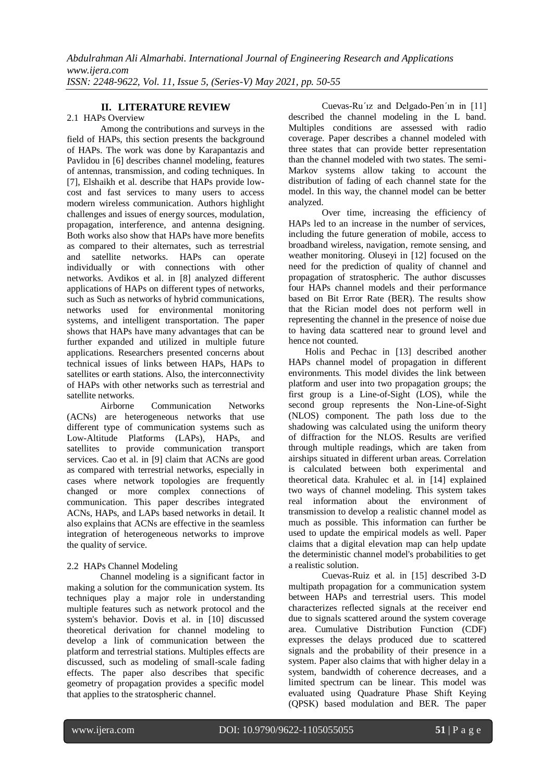# **II. LITERATURE REVIEW**

#### 2.1 HAPs Overview

Among the contributions and surveys in the field of HAPs, this section presents the background of HAPs. The work was done by Karapantazis and Pavlidou in [6] describes channel modeling, features of antennas, transmission, and coding techniques. In [7], Elshaikh et al. describe that HAPs provide lowcost and fast services to many users to access modern wireless communication. Authors highlight challenges and issues of energy sources, modulation, propagation, interference, and antenna designing. Both works also show that HAPs have more benefits as compared to their alternates, such as terrestrial and satellite networks. HAPs can operate individually or with connections with other networks. Avdikos et al. in [8] analyzed different applications of HAPs on different types of networks, such as Such as networks of hybrid communications, networks used for environmental monitoring systems, and intelligent transportation. The paper shows that HAPs have many advantages that can be further expanded and utilized in multiple future applications. Researchers presented concerns about technical issues of links between HAPs, HAPs to satellites or earth stations. Also, the interconnectivity of HAPs with other networks such as terrestrial and satellite networks.

Airborne Communication Networks (ACNs) are heterogeneous networks that use different type of communication systems such as Low-Altitude Platforms (LAPs), HAPs, and satellites to provide communication transport services. Cao et al. in [9] claim that ACNs are good as compared with terrestrial networks, especially in cases where network topologies are frequently changed or more complex connections of communication. This paper describes integrated ACNs, HAPs, and LAPs based networks in detail. It also explains that ACNs are effective in the seamless integration of heterogeneous networks to improve the quality of service.

## 2.2 HAPs Channel Modeling

Channel modeling is a significant factor in making a solution for the communication system. Its techniques play a major role in understanding multiple features such as network protocol and the system's behavior. Dovis et al. in [10] discussed theoretical derivation for channel modeling to develop a link of communication between the platform and terrestrial stations. Multiples effects are discussed, such as modeling of small-scale fading effects. The paper also describes that specific geometry of propagation provides a specific model that applies to the stratospheric channel.

Cuevas-Ru´ız and Delgado-Pen´ın in [11] described the channel modeling in the L band. Multiples conditions are assessed with radio coverage. Paper describes a channel modeled with three states that can provide better representation than the channel modeled with two states. The semi-Markov systems allow taking to account the distribution of fading of each channel state for the model. In this way, the channel model can be better analyzed.

Over time, increasing the efficiency of HAPs led to an increase in the number of services, including the future generation of mobile, access to broadband wireless, navigation, remote sensing, and weather monitoring. Oluseyi in [12] focused on the need for the prediction of quality of channel and propagation of stratospheric. The author discusses four HAPs channel models and their performance based on Bit Error Rate (BER). The results show that the Rician model does not perform well in representing the channel in the presence of noise due to having data scattered near to ground level and hence not counted.

Holis and Pechac in [13] described another HAPs channel model of propagation in different environments. This model divides the link between platform and user into two propagation groups; the first group is a Line-of-Sight (LOS), while the second group represents the Non-Line-of-Sight (NLOS) component. The path loss due to the shadowing was calculated using the uniform theory of diffraction for the NLOS. Results are verified through multiple readings, which are taken from airships situated in different urban areas. Correlation is calculated between both experimental and theoretical data. Krahulec et al. in [14] explained two ways of channel modeling. This system takes real information about the environment of transmission to develop a realistic channel model as much as possible. This information can further be used to update the empirical models as well. Paper claims that a digital elevation map can help update the deterministic channel model's probabilities to get a realistic solution.

Cuevas-Ruiz et al. in [15] described 3-D multipath propagation for a communication system between HAPs and terrestrial users. This model characterizes reflected signals at the receiver end due to signals scattered around the system coverage area. Cumulative Distribution Function (CDF) expresses the delays produced due to scattered signals and the probability of their presence in a system. Paper also claims that with higher delay in a system, bandwidth of coherence decreases, and a limited spectrum can be linear. This model was evaluated using Quadrature Phase Shift Keying (QPSK) based modulation and BER. The paper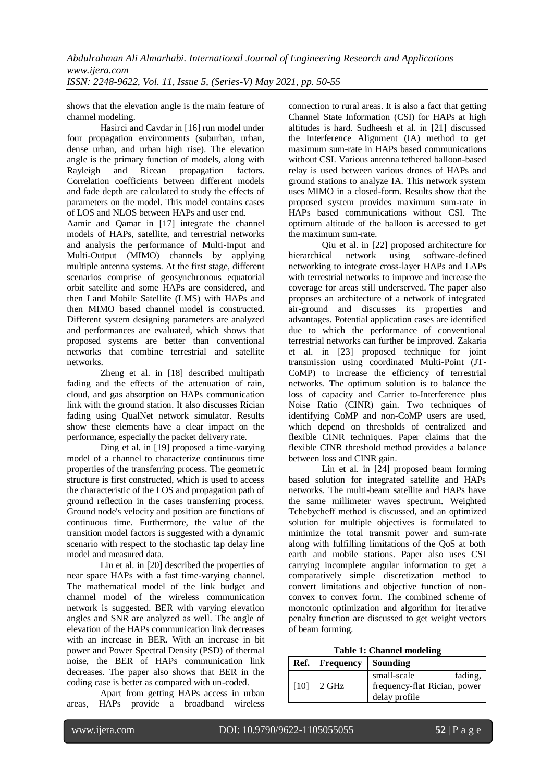shows that the elevation angle is the main feature of channel modeling.

Hasirci and Cavdar in [16] run model under four propagation environments (suburban, urban, dense urban, and urban high rise). The elevation angle is the primary function of models, along with Rayleigh and Ricean propagation factors. Correlation coefficients between different models and fade depth are calculated to study the effects of parameters on the model. This model contains cases of LOS and NLOS between HAPs and user end.

Aamir and Qamar in [17] integrate the channel models of HAPs, satellite, and terrestrial networks and analysis the performance of Multi-Input and Multi-Output (MIMO) channels by applying multiple antenna systems. At the first stage, different scenarios comprise of geosynchronous equatorial orbit satellite and some HAPs are considered, and then Land Mobile Satellite (LMS) with HAPs and then MIMO based channel model is constructed. Different system designing parameters are analyzed and performances are evaluated, which shows that proposed systems are better than conventional networks that combine terrestrial and satellite networks.

Zheng et al. in [18] described multipath fading and the effects of the attenuation of rain, cloud, and gas absorption on HAPs communication link with the ground station. It also discusses Rician fading using QualNet network simulator. Results show these elements have a clear impact on the performance, especially the packet delivery rate.

Ding et al. in [19] proposed a time-varying model of a channel to characterize continuous time properties of the transferring process. The geometric structure is first constructed, which is used to access the characteristic of the LOS and propagation path of ground reflection in the cases transferring process. Ground node's velocity and position are functions of continuous time. Furthermore, the value of the transition model factors is suggested with a dynamic scenario with respect to the stochastic tap delay line model and measured data.

Liu et al. in [20] described the properties of near space HAPs with a fast time-varying channel. The mathematical model of the link budget and channel model of the wireless communication network is suggested. BER with varying elevation angles and SNR are analyzed as well. The angle of elevation of the HAPs communication link decreases with an increase in BER. With an increase in bit power and Power Spectral Density (PSD) of thermal noise, the BER of HAPs communication link decreases. The paper also shows that BER in the coding case is better as compared with un-coded.

Apart from getting HAPs access in urban areas, HAPs provide a broadband wireless

connection to rural areas. It is also a fact that getting Channel State Information (CSI) for HAPs at high altitudes is hard. Sudheesh et al. in [21] discussed the Interference Alignment (IA) method to get maximum sum-rate in HAPs based communications without CSI. Various antenna tethered balloon-based relay is used between various drones of HAPs and ground stations to analyze IA. This network system uses MIMO in a closed-form. Results show that the proposed system provides maximum sum-rate in HAPs based communications without CSI. The optimum altitude of the balloon is accessed to get the maximum sum-rate.

Qiu et al. in [22] proposed architecture for hierarchical network using software-defined networking to integrate cross-layer HAPs and LAPs with terrestrial networks to improve and increase the coverage for areas still underserved. The paper also proposes an architecture of a network of integrated air-ground and discusses its properties and advantages. Potential application cases are identified due to which the performance of conventional terrestrial networks can further be improved. Zakaria et al. in [23] proposed technique for joint transmission using coordinated Multi-Point (JT-CoMP) to increase the efficiency of terrestrial networks. The optimum solution is to balance the loss of capacity and Carrier to-Interference plus Noise Ratio (CINR) gain. Two techniques of identifying CoMP and non-CoMP users are used, which depend on thresholds of centralized and flexible CINR techniques. Paper claims that the flexible CINR threshold method provides a balance between loss and CINR gain.

Lin et al. in [24] proposed beam forming based solution for integrated satellite and HAPs networks. The multi-beam satellite and HAPs have the same millimeter waves spectrum. Weighted Tchebycheff method is discussed, and an optimized solution for multiple objectives is formulated to minimize the total transmit power and sum-rate along with fulfilling limitations of the QoS at both earth and mobile stations. Paper also uses CSI carrying incomplete angular information to get a comparatively simple discretization method to convert limitations and objective function of nonconvex to convex form. The combined scheme of monotonic optimization and algorithm for iterative penalty function are discussed to get weight vectors of beam forming.

| <b>Table 1: Channel modeling</b> |  |
|----------------------------------|--|
|----------------------------------|--|

|  | Ref.   Frequency   Sounding |                                                                         |
|--|-----------------------------|-------------------------------------------------------------------------|
|  | $[10]$ 2 GHz                | small-scale<br>fading.<br>frequency-flat Rician, power<br>delay profile |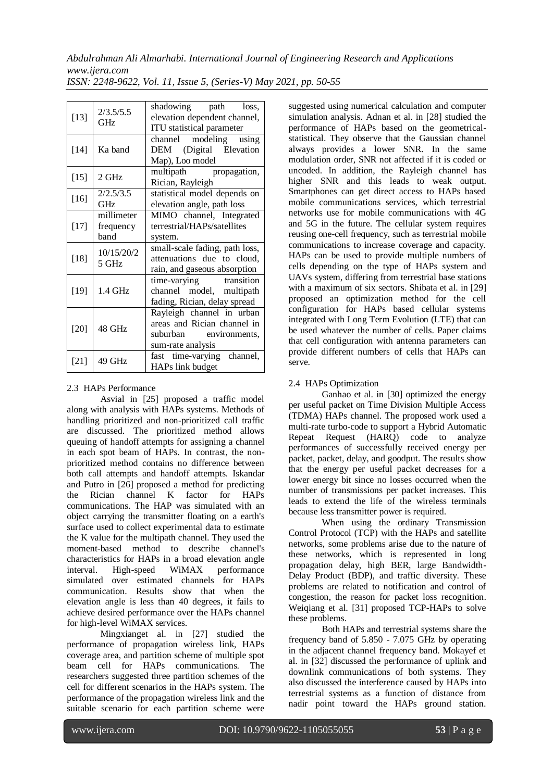| ISSN: 2248-9622, Vol. 11, Issue 5, (Series-V) May 2021, pp. 50-55 |  |  |  |  |  |
|-------------------------------------------------------------------|--|--|--|--|--|
|-------------------------------------------------------------------|--|--|--|--|--|

| $[13]$ | 2/3.5/5.5<br><b>GHz</b>         | shadowing path loss,<br>elevation dependent channel,<br>ITU statistical parameter                       |
|--------|---------------------------------|---------------------------------------------------------------------------------------------------------|
| $[14]$ | Ka band                         | channel modeling using<br>DEM (Digital Elevation<br>Map), Loo model                                     |
| $[15]$ | 2 GHz                           | multipath propagation,<br>Rician, Rayleigh                                                              |
| $[16]$ | 2/2.5/3.5<br><b>GHz</b>         | statistical model depends on<br>elevation angle, path loss                                              |
| $[17]$ | millimeter<br>frequency<br>band | MIMO channel, Integrated<br>terrestrial/HAPs/satellites<br>system.                                      |
| $[18]$ | 10/15/20/2<br>5 GHz             | small-scale fading, path loss,<br>attenuations due to cloud,<br>rain, and gaseous absorption            |
| $[19]$ | 1.4 GHz                         | time-varying transition<br>channel model, multipath<br>fading, Rician, delay spread                     |
| $[20]$ | 48 GHz                          | Rayleigh channel in urban<br>areas and Rician channel in<br>suburban environments,<br>sum-rate analysis |
| $[21]$ | 49 GHz                          | fast time-varying channel,<br>HAPs link budget                                                          |

# 2.3 HAPs Performance

Asvial in [25] proposed a traffic model along with analysis with HAPs systems. Methods of handling prioritized and non-prioritized call traffic are discussed. The prioritized method allows queuing of handoff attempts for assigning a channel in each spot beam of HAPs. In contrast, the nonprioritized method contains no difference between both call attempts and handoff attempts. Iskandar and Putro in [26] proposed a method for predicting the Rician channel K factor for HAPs communications. The HAP was simulated with an object carrying the transmitter floating on a earth's surface used to collect experimental data to estimate the K value for the multipath channel. They used the moment-based method to describe channel's characteristics for HAPs in a broad elevation angle interval. High-speed WiMAX performance simulated over estimated channels for HAPs communication. Results show that when the elevation angle is less than 40 degrees, it fails to achieve desired performance over the HAPs channel for high-level WiMAX services.

Mingxianget al. in [27] studied the performance of propagation wireless link, HAPs coverage area, and partition scheme of multiple spot beam cell for HAPs communications. The researchers suggested three partition schemes of the cell for different scenarios in the HAPs system. The performance of the propagation wireless link and the suitable scenario for each partition scheme were

suggested using numerical calculation and computer simulation analysis. Adnan et al. in [28] studied the performance of HAPs based on the geometricalstatistical. They observe that the Gaussian channel always provides a lower SNR. In the same modulation order, SNR not affected if it is coded or uncoded. In addition, the Rayleigh channel has higher SNR and this leads to weak output. Smartphones can get direct access to HAPs based mobile communications services, which terrestrial networks use for mobile communications with 4G and 5G in the future. The cellular system requires reusing one-cell frequency, such as terrestrial mobile communications to increase coverage and capacity. HAPs can be used to provide multiple numbers of cells depending on the type of HAPs system and UAVs system, differing from terrestrial base stations with a maximum of six sectors. Shibata et al. in [29] proposed an optimization method for the cell configuration for HAPs based cellular systems integrated with Long Term Evolution (LTE) that can be used whatever the number of cells. Paper claims that cell configuration with antenna parameters can provide different numbers of cells that HAPs can serve.

# 2.4 HAPs Optimization

Ganhao et al. in [30] optimized the energy per useful packet on Time Division Multiple Access (TDMA) HAPs channel. The proposed work used a multi-rate turbo-code to support a Hybrid Automatic Repeat Request (HARQ) code to analyze performances of successfully received energy per packet, packet, delay, and goodput. The results show that the energy per useful packet decreases for a lower energy bit since no losses occurred when the number of transmissions per packet increases. This leads to extend the life of the wireless terminals because less transmitter power is required.

When using the ordinary Transmission Control Protocol (TCP) with the HAPs and satellite networks, some problems arise due to the nature of these networks, which is represented in long propagation delay, high BER, large Bandwidth-Delay Product (BDP), and traffic diversity. These problems are related to notification and control of congestion, the reason for packet loss recognition. Weiqiang et al. [31] proposed TCP-HAPs to solve these problems.

Both HAPs and terrestrial systems share the frequency band of 5.850 - 7.075 GHz by operating in the adjacent channel frequency band. Mokayef et al. in [32] discussed the performance of uplink and downlink communications of both systems. They also discussed the interference caused by HAPs into terrestrial systems as a function of distance from nadir point toward the HAPs ground station.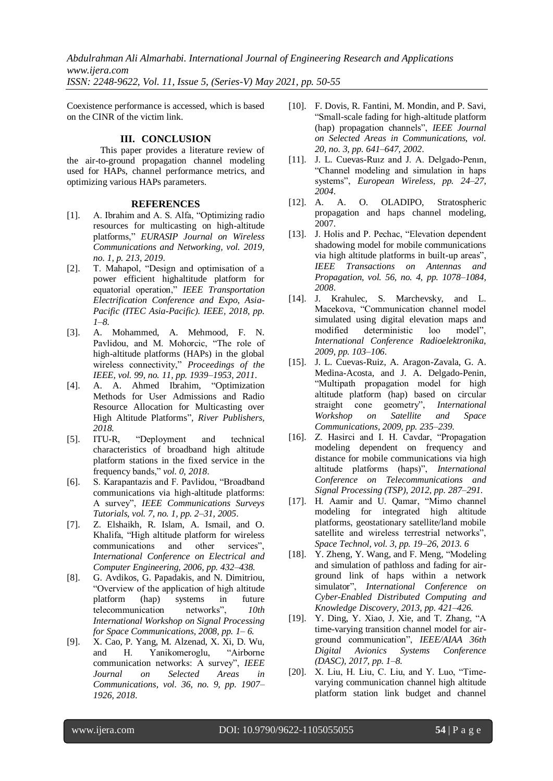*Abdulrahman Ali Almarhabi. International Journal of Engineering Research and Applications www.ijera.com*

*ISSN: 2248-9622, Vol. 11, Issue 5, (Series-V) May 2021, pp. 50-55*

Coexistence performance is accessed, which is based on the CINR of the victim link.

# **III. CONCLUSION**

This paper provides a literature review of the air-to-ground propagation channel modeling used for HAPs, channel performance metrics, and optimizing various HAPs parameters.

#### **REFERENCES**

- [1]. A. Ibrahim and A. S. Alfa, "Optimizing radio resources for multicasting on high-altitude platforms," *EURASIP Journal on Wireless Communications and Networking, vol. 2019, no. 1, p. 213, 2019*.
- [2]. T. Mahapol, "Design and optimisation of a power efficient highaltitude platform for equatorial operation," *IEEE Transportation Electrification Conference and Expo, Asia-Pacific (ITEC Asia-Pacific). IEEE, 2018, pp. 1–8.*
- [3]. A. Mohammed, A. Mehmood, F. N. Pavlidou, and M. Mohorcic, "The role of high-altitude platforms (HAPs) in the global wireless connectivity," *Proceedings of the IEEE, vol. 99, no. 11, pp. 1939–1953, 2011*.
- [4]. A. A. Ahmed Ibrahim, "Optimization Methods for User Admissions and Radio Resource Allocation for Multicasting over High Altitude Platforms", *River Publishers, 2018.*
- [5]. ITU-R, "Deployment and technical characteristics of broadband high altitude platform stations in the fixed service in the frequency bands," *vol. 0, 2018*.
- [6]. S. Karapantazis and F. Pavlidou, "Broadband communications via high-altitude platforms: A survey", *IEEE Communications Surveys Tutorials, vol. 7, no. 1, pp. 2–31, 2005*.
- [7]. Z. Elshaikh, R. Islam, A. Ismail, and O. Khalifa, "High altitude platform for wireless communications and other services", *International Conference on Electrical and Computer Engineering, 2006, pp. 432–438.*
- [8]. G. Avdikos, G. Papadakis, and N. Dimitriou, "Overview of the application of high altitude platform (hap) systems in future telecommunication networks", *10th International Workshop on Signal Processing for Space Communications, 2008, pp. 1– 6.*
- [9]. X. Cao, P. Yang, M. Alzenad, X. Xi, D. Wu, and H. Yanikomeroglu, "Airborne communication networks: A survey", *IEEE Journal on Selected Areas in Communications, vol. 36, no. 9, pp. 1907– 1926, 2018*.
- [10]. F. Dovis, R. Fantini, M. Mondin, and P. Savi, "Small-scale fading for high-altitude platform (hap) propagation channels", *IEEE Journal on Selected Areas in Communications, vol. 20, no. 3, pp. 641–647, 2002*.
- [11]. J. L. Cuevas-Ruiz and J. A. Delgado-Penin, "Channel modeling and simulation in haps systems", *European Wireless, pp. 24–27, 2004*.
- [12]. A. A. O. OLADIPO, Stratospheric propagation and haps channel modeling, 2007.
- [13]. J. Holis and P. Pechac, "Elevation dependent" shadowing model for mobile communications via high altitude platforms in built-up areas", *IEEE Transactions on Antennas and Propagation, vol. 56, no. 4, pp. 1078–1084, 2008*.
- [14]. J. Krahulec, S. Marchevsky, and L. Macekova, "Communication channel model simulated using digital elevation maps and modified deterministic loo model", *International Conference Radioelektronika, 2009, pp. 103–106*.
- [15]. J. L. Cuevas-Ruiz, A. Aragon-Zavala, G. A. Medina-Acosta, and J. A. Delgado-Penin, "Multipath propagation model for high altitude platform (hap) based on circular straight cone geometry", *International Workshop on Satellite and Space Communications, 2009, pp. 235–239*.
- [16]. Z. Hasirci and I. H. Cavdar, "Propagation modeling dependent on frequency and distance for mobile communications via high altitude platforms (haps)", *International Conference on Telecommunications and Signal Processing (TSP), 2012, pp. 287–291*.
- [17]. H. Aamir and U. Qamar, "Mimo channel modeling for integrated high altitude platforms, geostationary satellite/land mobile satellite and wireless terrestrial networks", *Space Technol, vol. 3, pp. 19–26, 2013. 6*
- [18]. Y. Zheng, Y. Wang, and F. Meng, "Modeling and simulation of pathloss and fading for airground link of haps within a network simulator", *International Conference on Cyber-Enabled Distributed Computing and Knowledge Discovery, 2013, pp. 421–426*.
- [19]. Y. Ding, Y. Xiao, J. Xie, and T. Zhang, "A time-varying transition channel model for airground communication", *IEEE/AIAA 36th Digital Avionics Systems Conference (DASC), 2017, pp. 1–8*.
- [20]. X. Liu, H. Liu, C. Liu, and Y. Luo, "Timevarying communication channel high altitude platform station link budget and channel